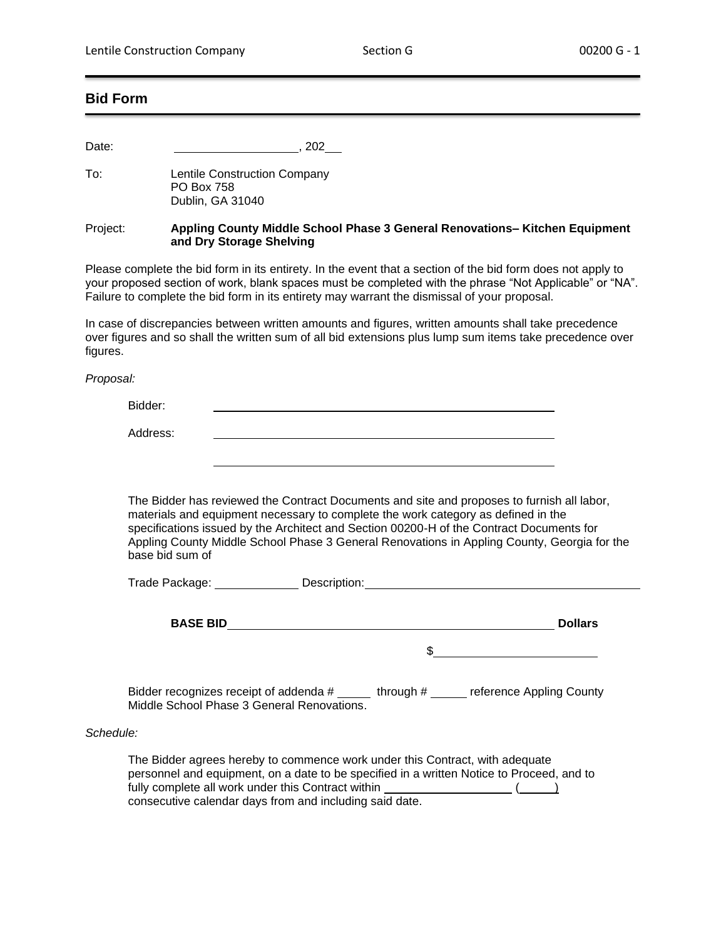## **Bid Form**

Date: , 202

To: Lentile Construction Company PO Box 758 Dublin, GA 31040

Project: **Appling County Middle School Phase 3 General Renovations– Kitchen Equipment and Dry Storage Shelving**

Please complete the bid form in its entirety. In the event that a section of the bid form does not apply to your proposed section of work, blank spaces must be completed with the phrase "Not Applicable" or "NA". Failure to complete the bid form in its entirety may warrant the dismissal of your proposal.

In case of discrepancies between written amounts and figures, written amounts shall take precedence over figures and so shall the written sum of all bid extensions plus lump sum items take precedence over figures.

*Proposal:*

Bidder:

Address:

The Bidder has reviewed the Contract Documents and site and proposes to furnish all labor, materials and equipment necessary to complete the work category as defined in the specifications issued by the Architect and Section 00200-H of the Contract Documents for Appling County Middle School Phase 3 General Renovations in Appling County, Georgia for the base bid sum of

| Trade Package:  | Description: |                |
|-----------------|--------------|----------------|
|                 |              |                |
| <b>BASE BID</b> |              | <b>Dollars</b> |

 $\mathfrak{S}$ 

Bidder recognizes receipt of addenda # through # reference Appling County Middle School Phase 3 General Renovations.

## *Schedule:*

The Bidder agrees hereby to commence work under this Contract, with adequate personnel and equipment, on a date to be specified in a written Notice to Proceed, and to fully complete all work under this Contract within  $( )$ consecutive calendar days from and including said date.